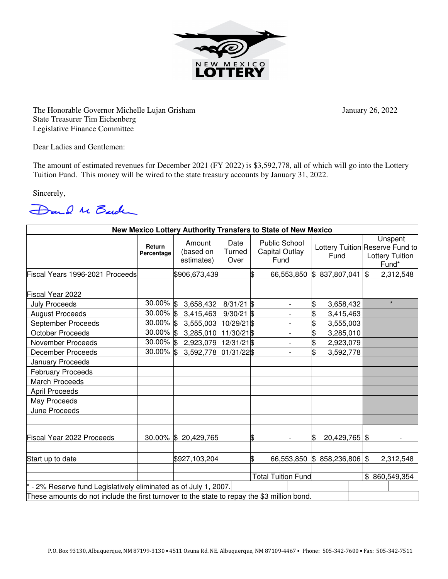

The Honorable Governor Michelle Lujan Grisham January 26, 2022 State Treasurer Tim Eichenberg Legislative Finance Committee

Dear Ladies and Gentlemen:

The amount of estimated revenues for December 2021 (FY 2022) is \$3,592,778, all of which will go into the Lottery Tuition Fund. This money will be wired to the state treasury accounts by January 31, 2022.

Sincerely,



| New Mexico Lottery Authority Transfers to State of New Mexico  |                                                                                             |                                   |                           |    |                                                       |                    |  |                                                                               |               |  |
|----------------------------------------------------------------|---------------------------------------------------------------------------------------------|-----------------------------------|---------------------------|----|-------------------------------------------------------|--------------------|--|-------------------------------------------------------------------------------|---------------|--|
|                                                                | Return<br>Percentage                                                                        | Amount<br>(based on<br>estimates) | Date<br>Turned<br>Over    |    | <b>Public School</b><br><b>Capital Outlay</b><br>Fund | Fund               |  | Unspent<br>Lottery Tuition Reserve Fund to<br><b>Lottery Tuition</b><br>Fund* |               |  |
| Fiscal Years 1996-2021 Proceeds                                |                                                                                             | \$906,673,439                     |                           | \$ | 66,553,850                                            | 837,807,041<br>ß.  |  | $\mathfrak{S}$                                                                | 2,312,548     |  |
|                                                                |                                                                                             |                                   |                           |    |                                                       |                    |  |                                                                               |               |  |
| Fiscal Year 2022                                               |                                                                                             |                                   |                           |    |                                                       |                    |  |                                                                               |               |  |
| <b>July Proceeds</b>                                           | 30.00% \$                                                                                   | 3,658,432                         | $8/31/21$ \$              |    | $\qquad \qquad \blacksquare$                          | \$<br>3,658,432    |  |                                                                               | $\star$       |  |
| <b>August Proceeds</b>                                         | 30.00% \$                                                                                   | 3,415,463                         | $9/30/21$ \$              |    | $\overline{\phantom{a}}$                              | \$<br>3,415,463    |  |                                                                               |               |  |
| September Proceeds                                             | 30.00% \$                                                                                   | 3,555,003                         | 10/29/21\$                |    | $\overline{a}$                                        | \$<br>3,555,003    |  |                                                                               |               |  |
| <b>October Proceeds</b>                                        | 30.00% \$                                                                                   | 3,285,010                         | 11/30/21\$                |    |                                                       | 3,285,010          |  |                                                                               |               |  |
| November Proceeds                                              | 30.00% \$                                                                                   | 2,923,079                         | $12/31/21$ \$             |    | $\overline{\phantom{a}}$                              | \$<br>2,923,079    |  |                                                                               |               |  |
| <b>December Proceeds</b>                                       | 30.00% \$                                                                                   | 3,592,778                         | 01/31/22\$                |    | $\overline{\phantom{a}}$                              | \$<br>3,592,778    |  |                                                                               |               |  |
| January Proceeds                                               |                                                                                             |                                   |                           |    |                                                       |                    |  |                                                                               |               |  |
| <b>February Proceeds</b>                                       |                                                                                             |                                   |                           |    |                                                       |                    |  |                                                                               |               |  |
| March Proceeds                                                 |                                                                                             |                                   |                           |    |                                                       |                    |  |                                                                               |               |  |
| <b>April Proceeds</b>                                          |                                                                                             |                                   |                           |    |                                                       |                    |  |                                                                               |               |  |
| May Proceeds                                                   |                                                                                             |                                   |                           |    |                                                       |                    |  |                                                                               |               |  |
| June Proceeds                                                  |                                                                                             |                                   |                           |    |                                                       |                    |  |                                                                               |               |  |
| <b>Fiscal Year 2022 Proceeds</b>                               |                                                                                             | 30.00% \$ 20,429,765              |                           | \$ |                                                       | $20,429,765$ \$    |  |                                                                               |               |  |
| Start up to date                                               |                                                                                             | \$927,103,204                     |                           | \$ | 66,553,850                                            | $$858,236,806$ \\$ |  |                                                                               | 2,312,548     |  |
|                                                                |                                                                                             |                                   |                           |    |                                                       |                    |  |                                                                               |               |  |
|                                                                |                                                                                             |                                   | <b>Total Tuition Fund</b> |    |                                                       |                    |  |                                                                               | \$860,549,354 |  |
| - 2% Reserve fund Legislatively eliminated as of July 1, 2007. |                                                                                             |                                   |                           |    |                                                       |                    |  |                                                                               |               |  |
|                                                                | These amounts do not include the first turnover to the state to repay the \$3 million bond. |                                   |                           |    |                                                       |                    |  |                                                                               |               |  |